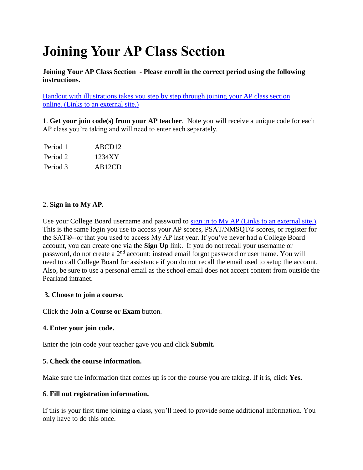# **Joining Your AP Class Section**

**Joining Your AP Class Section - Please enroll in the correct period using the following instructions.**

[Handout with illustrations takes you step by step through joining your AP class section](https://apcentral.collegeboard.org/pdf/joining-your-ap-class-section-students.pdf)  online. [\(Links to an external site.\)](https://apcentral.collegeboard.org/pdf/joining-your-ap-class-section-students.pdf)

1. **Get your join code(s) from your AP teacher**. Note you will receive a unique code for each AP class you're taking and will need to enter each separately.

| Period 1 | ABCD <sub>12</sub>  |
|----------|---------------------|
| Period 2 | 1234XY              |
| Period 3 | AB <sub>12</sub> CD |

## 2. **Sign in to My AP.**

Use your College Board username and password to sign in to My AP [\(Links to an external](http://myap.collegeboard.org/dashboard) site.). This is the same login you use to access your AP scores, PSAT/NMSQT® scores, or register for the SAT®--or that you used to access My AP last year. If you've never had a College Board account, you can create one via the **Sign Up** link. If you do not recall your username or password, do not create a 2nd account: instead email forgot password or user name. You will need to call College Board for assistance if you do not recall the email used to setup the account. Also, be sure to use a personal email as the school email does not accept content from outside the Pearland intranet.

## **3. Choose to join a course.**

Click the **Join a Course or Exam** button.

## **4. Enter your join code.**

Enter the join code your teacher gave you and click **Submit.**

## **5. Check the course information.**

Make sure the information that comes up is for the course you are taking. If it is, click **Yes.**

## 6. **Fill out registration information.**

If this is your first time joining a class, you'll need to provide some additional information. You only have to do this once.